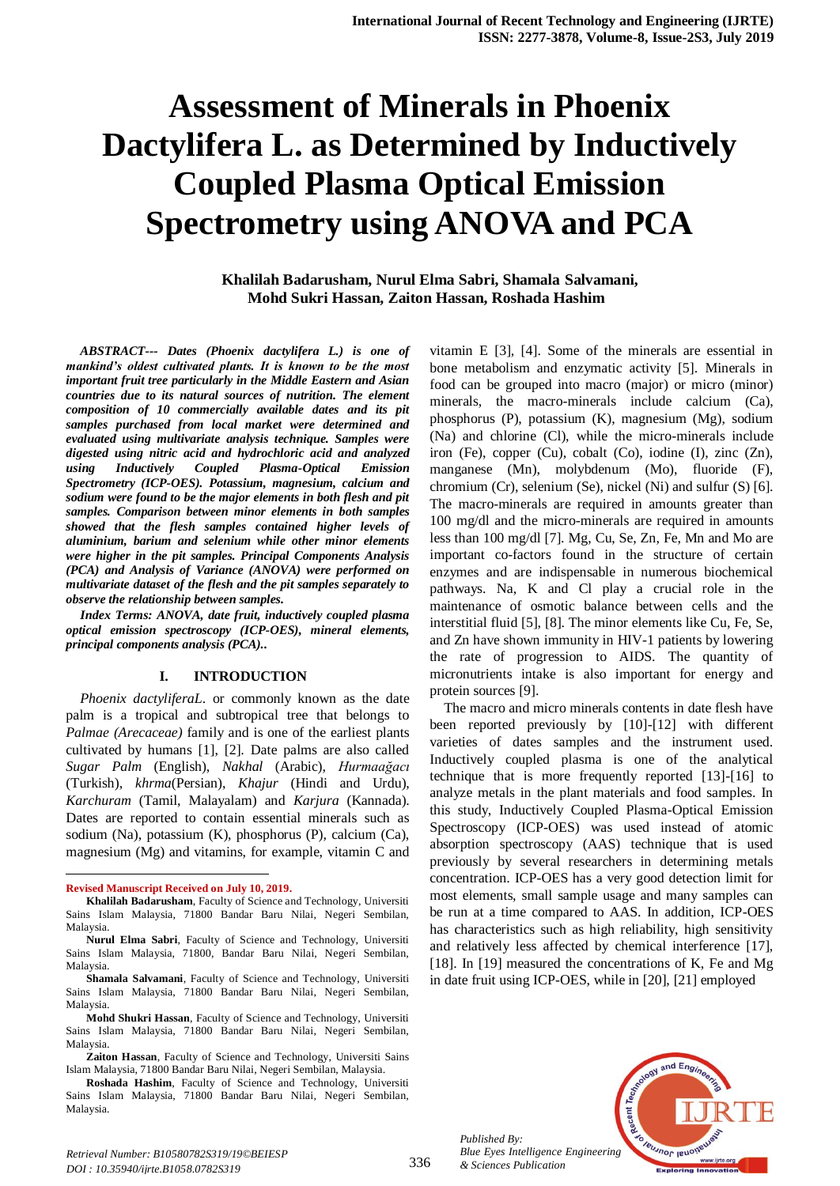# **Assessment of Minerals in Phoenix Dactylifera L. as Determined by Inductively Coupled Plasma Optical Emission Spectrometry using ANOVA and PCA**

**Khalilah Badarusham, Nurul Elma Sabri, Shamala Salvamani, Mohd Sukri Hassan, Zaiton Hassan, Roshada Hashim**

*ABSTRACT--- Dates (Phoenix dactylifera L.) is one of mankind's oldest cultivated plants. It is known to be the most important fruit tree particularly in the Middle Eastern and Asian countries due to its natural sources of nutrition. The element composition of 10 commercially available dates and its pit samples purchased from local market were determined and evaluated using multivariate analysis technique. Samples were digested using nitric acid and hydrochloric acid and analyzed using Inductively Coupled Plasma-Optical Emission Spectrometry (ICP-OES). Potassium, magnesium, calcium and sodium were found to be the major elements in both flesh and pit samples. Comparison between minor elements in both samples showed that the flesh samples contained higher levels of aluminium, barium and selenium while other minor elements were higher in the pit samples. Principal Components Analysis (PCA) and Analysis of Variance (ANOVA) were performed on multivariate dataset of the flesh and the pit samples separately to observe the relationship between samples.*

*Index Terms: ANOVA, date fruit, inductively coupled plasma optical emission spectroscopy (ICP-OES), mineral elements, principal components analysis (PCA)..*

#### **I. INTRODUCTION**

*Phoenix dactyliferaL*. or commonly known as the date palm is a tropical and subtropical tree that belongs to *Palmae (Arecaceae)* family and is one of the earliest plants cultivated by humans [1], [2]. Date palms are also called *Sugar Palm* (English), *Nakhal* (Arabic), *Hurmaağacı* (Turkish), *khrma*(Persian), *Khajur* (Hindi and Urdu), *Karchuram* (Tamil, Malayalam) and *Karjura* (Kannada). Dates are reported to contain essential minerals such as sodium (Na), potassium (K), phosphorus (P), calcium (Ca), magnesium (Mg) and vitamins, for example, vitamin C and

1

**Mohd Shukri Hassan**, Faculty of Science and Technology, Universiti Sains Islam Malaysia, 71800 Bandar Baru Nilai, Negeri Sembilan, Malaysia.

vitamin E [3], [4]. Some of the minerals are essential in bone metabolism and enzymatic activity [5]. Minerals in food can be grouped into macro (major) or micro (minor) minerals, the macro-minerals include calcium (Ca), phosphorus (P), potassium (K), magnesium (Mg), sodium (Na) and chlorine (Cl), while the micro-minerals include iron (Fe), copper (Cu), cobalt (Co), iodine (I), zinc (Zn), manganese (Mn), molybdenum (Mo), fluoride (F), chromium (Cr), selenium (Se), nickel (Ni) and sulfur (S) [6]. The macro-minerals are required in amounts greater than 100 mg/dl and the micro-minerals are required in amounts less than 100 mg/dl [7]. Mg, Cu, Se, Zn, Fe, Mn and Mo are important co-factors found in the structure of certain enzymes and are indispensable in numerous biochemical pathways. Na, K and Cl play a crucial role in the maintenance of osmotic balance between cells and the interstitial fluid [5], [8]. The minor elements like Cu, Fe, Se, and Zn have shown immunity in HIV-1 patients by lowering the rate of progression to AIDS. The quantity of micronutrients intake is also important for energy and protein sources [9].

The macro and micro minerals contents in date flesh have been reported previously by [10]-[12] with different varieties of dates samples and the instrument used. Inductively coupled plasma is one of the analytical technique that is more frequently reported [13]-[16] to analyze metals in the plant materials and food samples. In this study, Inductively Coupled Plasma-Optical Emission Spectroscopy (ICP-OES) was used instead of atomic absorption spectroscopy (AAS) technique that is used previously by several researchers in determining metals concentration. ICP-OES has a very good detection limit for most elements, small sample usage and many samples can be run at a time compared to AAS. In addition, ICP-OES has characteristics such as high reliability, high sensitivity and relatively less affected by chemical interference [17], [18]. In [19] measured the concentrations of K, Fe and Mg in date fruit using ICP-OES, while in [20], [21] employed



*Published By: Blue Eyes Intelligence Engineering & Sciences Publication* 

**Revised Manuscript Received on July 10, 2019.**

**Khalilah Badarusham**, Faculty of Science and Technology, Universiti Sains Islam Malaysia, 71800 Bandar Baru Nilai, Negeri Sembilan, Malaysia.

**Nurul Elma Sabri**, Faculty of Science and Technology, Universiti Sains Islam Malaysia, 71800, Bandar Baru Nilai, Negeri Sembilan, Malaysia.

**Shamala Salvamani**, Faculty of Science and Technology, Universiti Sains Islam Malaysia, 71800 Bandar Baru Nilai, Negeri Sembilan, Malaysia.

**Zaiton Hassan**, Faculty of Science and Technology, Universiti Sains Islam Malaysia, 71800 Bandar Baru Nilai, Negeri Sembilan, Malaysia.

**Roshada Hashim**, Faculty of Science and Technology, Universiti Sains Islam Malaysia, 71800 Bandar Baru Nilai, Negeri Sembilan, Malaysia.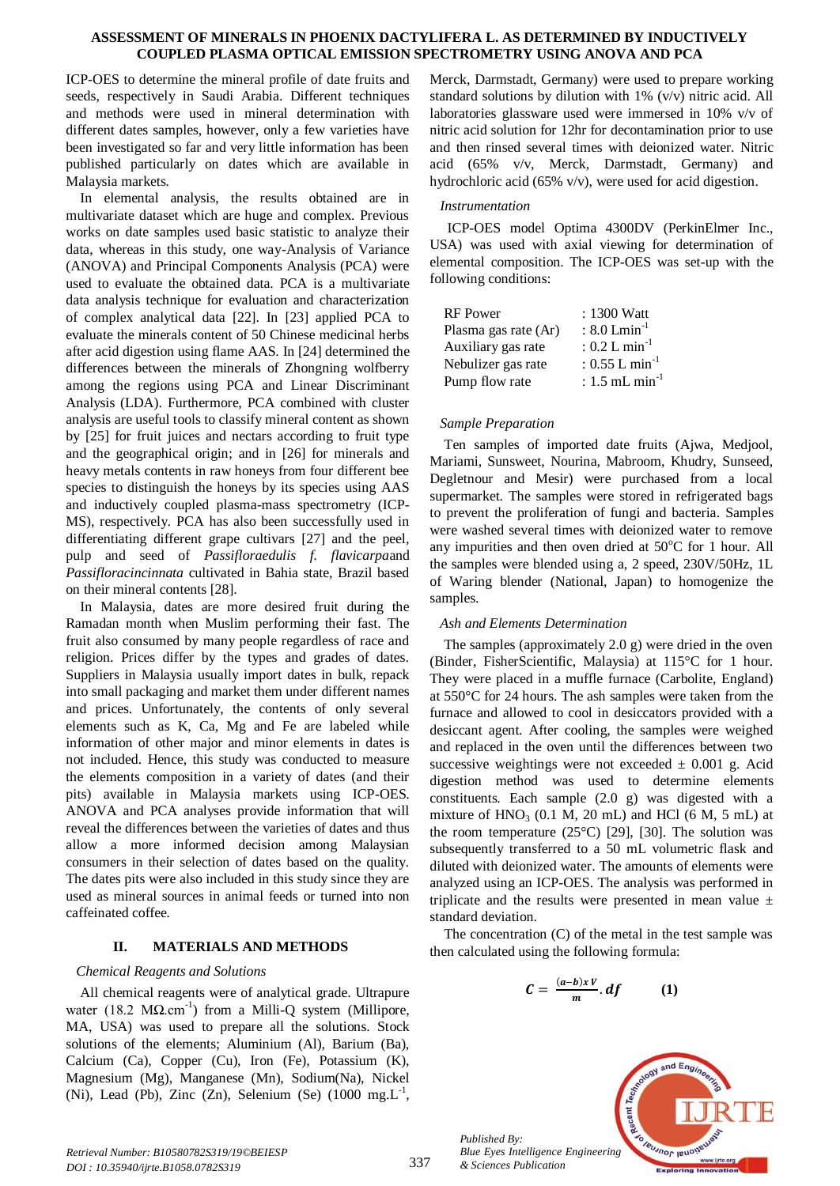ICP-OES to determine the mineral profile of date fruits and seeds, respectively in Saudi Arabia. Different techniques and methods were used in mineral determination with different dates samples, however, only a few varieties have been investigated so far and very little information has been published particularly on dates which are available in Malaysia markets.

In elemental analysis, the results obtained are in multivariate dataset which are huge and complex. Previous works on date samples used basic statistic to analyze their data, whereas in this study, one way-Analysis of Variance (ANOVA) and Principal Components Analysis (PCA) were used to evaluate the obtained data. PCA is a multivariate data analysis technique for evaluation and characterization of complex analytical data [22]. In [23] applied PCA to evaluate the minerals content of 50 Chinese medicinal herbs after acid digestion using flame AAS. In [24] determined the differences between the minerals of Zhongning wolfberry among the regions using PCA and Linear Discriminant Analysis (LDA). Furthermore, PCA combined with cluster analysis are useful tools to classify mineral content as shown by [25] for fruit juices and nectars according to fruit type and the geographical origin; and in [26] for minerals and heavy metals contents in raw honeys from four different bee species to distinguish the honeys by its species using AAS and inductively coupled plasma-mass spectrometry (ICP-MS), respectively. PCA has also been successfully used in differentiating different grape cultivars [27] and the peel, pulp and seed of *Passifloraedulis f. flavicarpa*and *Passifloracincinnata* cultivated in Bahia state, Brazil based on their mineral contents [28].

In Malaysia, dates are more desired fruit during the Ramadan month when Muslim performing their fast. The fruit also consumed by many people regardless of race and religion. Prices differ by the types and grades of dates. Suppliers in Malaysia usually import dates in bulk, repack into small packaging and market them under different names and prices. Unfortunately, the contents of only several elements such as K, Ca, Mg and Fe are labeled while information of other major and minor elements in dates is not included. Hence, this study was conducted to measure the elements composition in a variety of dates (and their pits) available in Malaysia markets using ICP-OES. ANOVA and PCA analyses provide information that will reveal the differences between the varieties of dates and thus allow a more informed decision among Malaysian consumers in their selection of dates based on the quality. The dates pits were also included in this study since they are used as mineral sources in animal feeds or turned into non caffeinated coffee*.*

# **II. MATERIALS AND METHODS**

#### *Chemical Reagents and Solutions*

All chemical reagents were of analytical grade. Ultrapure water (18.2 MΩ.cm<sup>-1</sup>) from a Milli-Q system (Millipore, MA, USA) was used to prepare all the solutions. Stock solutions of the elements; Aluminium (Al), Barium (Ba), Calcium (Ca), Copper (Cu), Iron (Fe), Potassium (K), Magnesium (Mg), Manganese (Mn), Sodium(Na), Nickel (Ni), Lead (Pb), Zinc  $(Zn)$ , Selenium (Se) (1000 mg. $L^{-1}$ ,

Merck, Darmstadt, Germany) were used to prepare working standard solutions by dilution with 1% (v/v) nitric acid. All laboratories glassware used were immersed in 10% v/v of nitric acid solution for 12hr for decontamination prior to use and then rinsed several times with deionized water. Nitric acid (65% v/v, Merck, Darmstadt, Germany) and hydrochloric acid (65% v/v), were used for acid digestion.

# *Instrumentation*

ICP-OES model Optima 4300DV (PerkinElmer Inc., USA) was used with axial viewing for determination of elemental composition. The ICP-OES was set-up with the following conditions:

| <b>RF</b> Power      | : 1300 Watt                  |
|----------------------|------------------------------|
| Plasma gas rate (Ar) | $: 8.0$ Lmin <sup>-1</sup>   |
| Auxiliary gas rate   | $: 0.2$ L min <sup>-1</sup>  |
| Nebulizer gas rate   | : $0.55$ L min <sup>-1</sup> |
| Pump flow rate       | : $1.5$ mL min <sup>-1</sup> |

## *Sample Preparation*

Ten samples of imported date fruits (Ajwa, Medjool, Mariami, Sunsweet, Nourina, Mabroom, Khudry, Sunseed, Degletnour and Mesir) were purchased from a local supermarket. The samples were stored in refrigerated bags to prevent the proliferation of fungi and bacteria. Samples were washed several times with deionized water to remove any impurities and then oven dried at  $50^{\circ}$ C for 1 hour. All the samples were blended using a, 2 speed, 230V/50Hz, 1L of Waring blender (National, Japan) to homogenize the samples.

#### *Ash and Elements Determination*

The samples (approximately 2.0 g) were dried in the oven (Binder, FisherScientific, Malaysia) at 115°C for 1 hour. They were placed in a muffle furnace (Carbolite, England) at 550°C for 24 hours. The ash samples were taken from the furnace and allowed to cool in desiccators provided with a desiccant agent. After cooling, the samples were weighed and replaced in the oven until the differences between two successive weightings were not exceeded  $\pm$  0.001 g. Acid digestion method was used to determine elements constituents. Each sample (2.0 g) was digested with a mixture of  $HNO<sub>3</sub>$  (0.1 M, 20 mL) and HCl (6 M, 5 mL) at the room temperature  $(25^{\circ}C)$  [29], [30]. The solution was subsequently transferred to a 50 mL volumetric flask and diluted with deionized water. The amounts of elements were analyzed using an ICP-OES. The analysis was performed in triplicate and the results were presented in mean value  $\pm$ standard deviation.

The concentration (C) of the metal in the test sample was then calculated using the following formula:

$$
C = \frac{(a-b)xV}{m} \cdot df \qquad (1)
$$



*Published By:*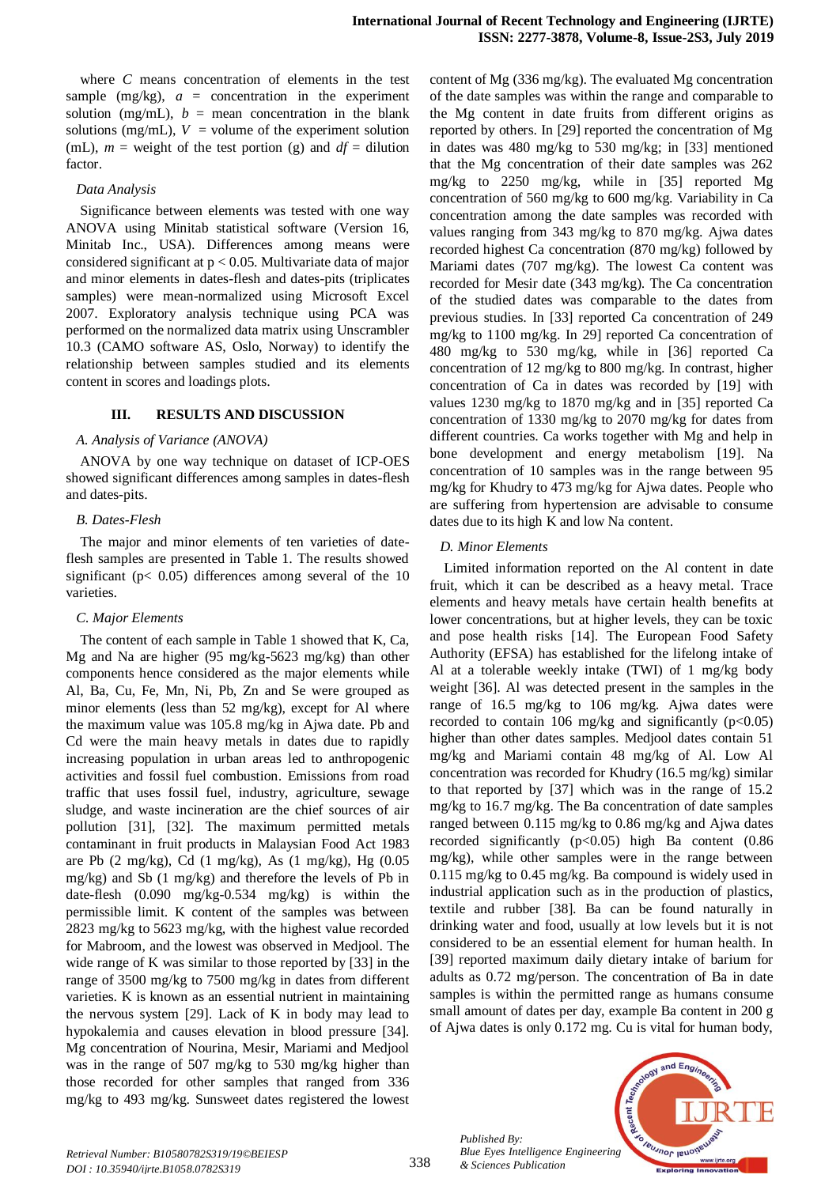where *C* means concentration of elements in the test sample  $(mg/kg)$ ,  $a =$  concentration in the experiment solution (mg/mL),  $b =$  mean concentration in the blank solutions (mg/mL),  $V =$  volume of the experiment solution (mL),  $m =$  weight of the test portion (g) and  $df =$  dilution factor.

#### *Data Analysis*

Significance between elements was tested with one way ANOVA using Minitab statistical software (Version 16, Minitab Inc., USA). Differences among means were considered significant at p < 0.05. Multivariate data of major and minor elements in dates-flesh and dates-pits (triplicates samples) were mean-normalized using Microsoft Excel 2007. Exploratory analysis technique using PCA was performed on the normalized data matrix using Unscrambler 10.3 (CAMO software AS, Oslo, Norway) to identify the relationship between samples studied and its elements content in scores and loadings plots.

# **III. RESULTS AND DISCUSSION**

#### *A. Analysis of Variance (ANOVA)*

ANOVA by one way technique on dataset of ICP-OES showed significant differences among samples in dates-flesh and dates-pits.

#### *B. Dates-Flesh*

The major and minor elements of ten varieties of dateflesh samples are presented in Table 1. The results showed significant ( $p$ < 0.05) differences among several of the 10 varieties.

#### *C. Major Elements*

The content of each sample in Table 1 showed that K, Ca, Mg and Na are higher (95 mg/kg-5623 mg/kg) than other components hence considered as the major elements while Al, Ba, Cu, Fe, Mn, Ni, Pb, Zn and Se were grouped as minor elements (less than 52 mg/kg), except for Al where the maximum value was 105.8 mg/kg in Ajwa date. Pb and Cd were the main heavy metals in dates due to rapidly increasing population in urban areas led to anthropogenic activities and fossil fuel combustion. Emissions from road traffic that uses fossil fuel, industry, agriculture, sewage sludge, and waste incineration are the chief sources of air pollution [31], [32]. The maximum permitted metals contaminant in fruit products in Malaysian Food Act 1983 are Pb  $(2 \text{ mg/kg})$ , Cd  $(1 \text{ mg/kg})$ , As  $(1 \text{ mg/kg})$ , Hg  $(0.05$ mg/kg) and Sb (1 mg/kg) and therefore the levels of Pb in date-flesh (0.090 mg/kg-0.534 mg/kg) is within the permissible limit. K content of the samples was between 2823 mg/kg to 5623 mg/kg, with the highest value recorded for Mabroom, and the lowest was observed in Medjool. The wide range of K was similar to those reported by [33] in the range of 3500 mg/kg to 7500 mg/kg in dates from different varieties. K is known as an essential nutrient in maintaining the nervous system [29]. Lack of K in body may lead to hypokalemia and causes elevation in blood pressure [34]. Mg concentration of Nourina, Mesir, Mariami and Medjool was in the range of 507 mg/kg to 530 mg/kg higher than those recorded for other samples that ranged from 336 mg/kg to 493 mg/kg. Sunsweet dates registered the lowest content of Mg (336 mg/kg). The evaluated Mg concentration of the date samples was within the range and comparable to the Mg content in date fruits from different origins as reported by others. In [29] reported the concentration of Mg in dates was 480 mg/kg to 530 mg/kg; in [33] mentioned that the Mg concentration of their date samples was 262 mg/kg to 2250 mg/kg, while in [35] reported Mg concentration of 560 mg/kg to 600 mg/kg. Variability in Ca concentration among the date samples was recorded with values ranging from 343 mg/kg to 870 mg/kg. Ajwa dates recorded highest Ca concentration (870 mg/kg) followed by Mariami dates (707 mg/kg). The lowest Ca content was recorded for Mesir date (343 mg/kg). The Ca concentration of the studied dates was comparable to the dates from previous studies. In [33] reported Ca concentration of 249 mg/kg to 1100 mg/kg. In 29] reported Ca concentration of 480 mg/kg to 530 mg/kg, while in [36] reported Ca concentration of 12 mg/kg to 800 mg/kg. In contrast, higher concentration of Ca in dates was recorded by [19] with values 1230 mg/kg to 1870 mg/kg and in [35] reported Ca concentration of 1330 mg/kg to 2070 mg/kg for dates from different countries. Ca works together with Mg and help in bone development and energy metabolism [19]. Na concentration of 10 samples was in the range between 95 mg/kg for Khudry to 473 mg/kg for Ajwa dates. People who are suffering from hypertension are advisable to consume dates due to its high K and low Na content.

# *D. Minor Elements*

Limited information reported on the Al content in date fruit, which it can be described as a heavy metal. Trace elements and heavy metals have certain health benefits at lower concentrations, but at higher levels, they can be toxic and pose health risks [14]. The European Food Safety Authority (EFSA) has established for the lifelong intake of Al at a tolerable weekly intake (TWI) of 1 mg/kg body weight [36]. Al was detected present in the samples in the range of 16.5 mg/kg to 106 mg/kg. Ajwa dates were recorded to contain 106 mg/kg and significantly  $(p<0.05)$ higher than other dates samples. Medjool dates contain 51 mg/kg and Mariami contain 48 mg/kg of Al. Low Al concentration was recorded for Khudry (16.5 mg/kg) similar to that reported by [37] which was in the range of 15.2 mg/kg to 16.7 mg/kg. The Ba concentration of date samples ranged between 0.115 mg/kg to 0.86 mg/kg and Ajwa dates recorded significantly  $(p<0.05)$  high Ba content  $(0.86)$ mg/kg), while other samples were in the range between 0.115 mg/kg to 0.45 mg/kg. Ba compound is widely used in industrial application such as in the production of plastics, textile and rubber [38]. Ba can be found naturally in drinking water and food, usually at low levels but it is not considered to be an essential element for human health. In [39] reported maximum daily dietary intake of barium for adults as 0.72 mg/person. The concentration of Ba in date samples is within the permitted range as humans consume small amount of dates per day, example Ba content in 200 g of Ajwa dates is only 0.172 mg. Cu is vital for human body,



*Published By:*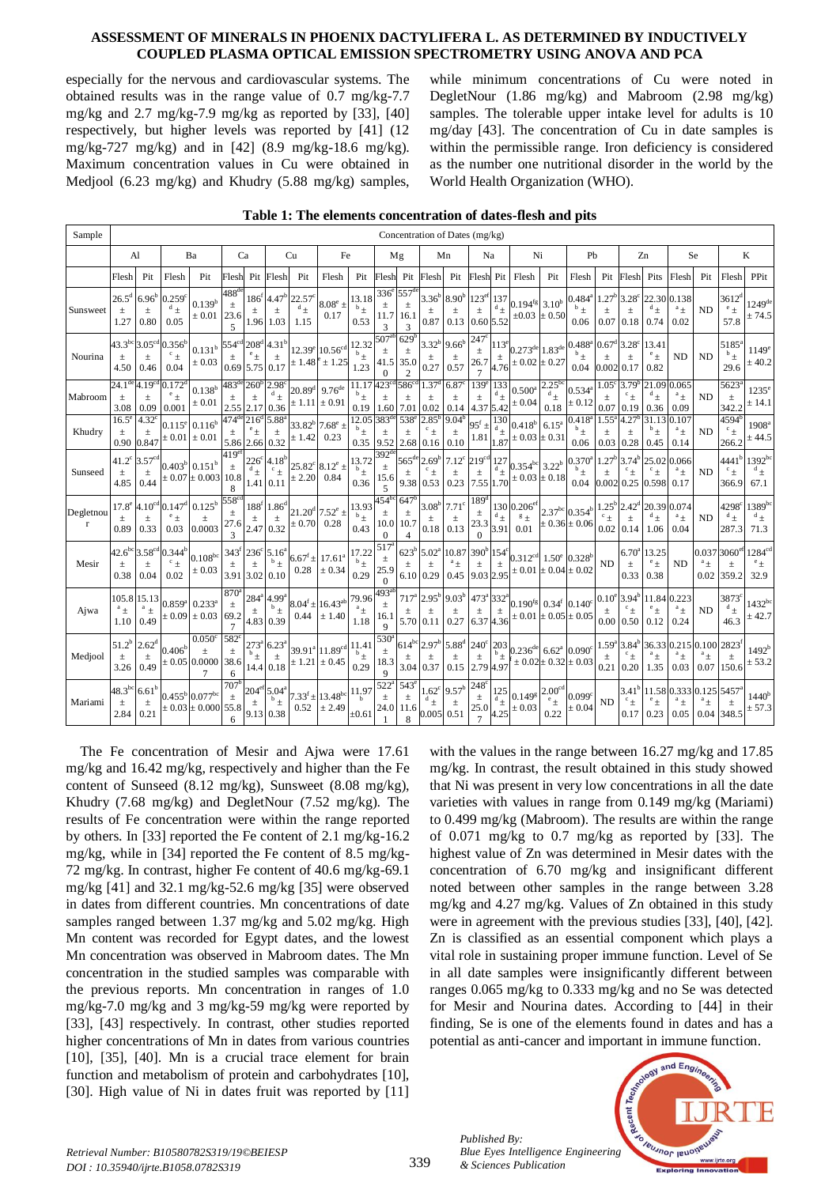especially for the nervous and cardiovascular systems. The obtained results was in the range value of 0.7 mg/kg-7.7 mg/kg and 2.7 mg/kg-7.9 mg/kg as reported by [33], [40] respectively, but higher levels was reported by [41] (12 mg/kg-727 mg/kg) and in [42] (8.9 mg/kg-18.6 mg/kg). Maximum concentration values in Cu were obtained in Medjool (6.23 mg/kg) and Khudry (5.88 mg/kg) samples,

while minimum concentrations of Cu were noted in DegletNour (1.86 mg/kg) and Mabroom (2.98 mg/kg) samples. The tolerable upper intake level for adults is 10 mg/day [43]. The concentration of Cu in date samples is within the permissible range. Iron deficiency is considered as the number one nutritional disorder in the world by the World Health Organization (WHO).

| Sample                   | Concentration of Dates (mg/kg)        |                                    |                                         |                                                                                    |                                                  |                                      |                                                                      |                                  |                                                               |                            |                                                  |                                                     |                                                                                    |                                    |                                               |                                           |                                                                                                                |                                                       |                                         |                                                                       |                                    |                                                                       |                                   |                                        |                                              |                                                           |
|--------------------------|---------------------------------------|------------------------------------|-----------------------------------------|------------------------------------------------------------------------------------|--------------------------------------------------|--------------------------------------|----------------------------------------------------------------------|----------------------------------|---------------------------------------------------------------|----------------------------|--------------------------------------------------|-----------------------------------------------------|------------------------------------------------------------------------------------|------------------------------------|-----------------------------------------------|-------------------------------------------|----------------------------------------------------------------------------------------------------------------|-------------------------------------------------------|-----------------------------------------|-----------------------------------------------------------------------|------------------------------------|-----------------------------------------------------------------------|-----------------------------------|----------------------------------------|----------------------------------------------|-----------------------------------------------------------|
|                          | Al                                    |                                    | Ba                                      |                                                                                    | Ca                                               |                                      | Cu                                                                   |                                  | Fe                                                            |                            | Mg                                               |                                                     | Mn                                                                                 |                                    | Na                                            |                                           | Ni                                                                                                             |                                                       | Pb                                      |                                                                       | Zn                                 |                                                                       | Se                                |                                        | K                                            |                                                           |
|                          | Flesh                                 | Pit                                | Flesh                                   | Pit                                                                                | Flesh                                            |                                      | Pit Flesh                                                            | Pit                              | Flesh                                                         | Pit                        | Flesh                                            | Pit                                                 | Flesh                                                                              | Pit                                | Flesh Pit                                     |                                           | Flesh                                                                                                          | Pit                                                   | Flesh                                   | Pit                                                                   | Flesh                              | Pits                                                                  | Flesh                             | Pit                                    | Flesh                                        | PPit                                                      |
| Sunsweet                 | $26.5^{\rm d}$<br>土<br>1.27           | 6.96 <sup>t</sup><br>$\pm$<br>0.80 | $0.259^{\circ}$<br>$\int_{\pm}$<br>0.05 | $0.139^{\rm b}$<br>$\pm 0.01$                                                      | $488^{\rm d}$<br>$\pm$<br>23.6<br>$\overline{5}$ | $\pm$                                | $186^{\rm f}$ 4.47 <sup>b</sup><br>土<br>1.96 1.03                    | 22.57<br>$\frac{d}{\pm}$<br>1.15 | $8.08^e$ ±<br>0.17                                            | 13.18<br>$b_{\pm}$<br>0.53 | 336<br>$\pm$<br>11.7<br>3                        | 557<br>$\pm$<br>16.1<br>3                           | $3.36^{b}$<br>土<br>0.87                                                            | 8.90 <sup>t</sup><br>土<br>0.13     | 123 <sup>ef</sup><br>$\pm$<br>0.60 5.52       | 137<br>$^{\rm d}$ $_{\pm}$                | $0.194$ <sup>fg</sup> 3.10 <sup>b</sup><br>$\pm 0.03 \pm 0.50$                                                 |                                                       | $0.484^{a}$<br>$^{\rm b}$ $\pm$<br>0.06 | 1.27 <sup>b</sup><br>$\pm$<br>$0.07$ 0.18                             | 3.28<br>$\pm$                      | 22.30<br>$^{d}$ $_{\pm}$<br>0.74                                      | 0.138<br>$a_{\pm}$<br>0.02        | <b>ND</b>                              | $3612^d$<br>$^e \pm$<br>57.8                 | $1249$ <sup>de</sup><br>$\pm$ 74.5                        |
| Nourina                  | $43.3^{bc}$<br>$\pm$<br>4.50          | $3.05^\circ$<br>$\pm$<br>0.46      | $0.356^{\rm b}$<br>$c_{\pm}$<br>0.04    | $0.131^{\rm b}$ 554 <sup>cd</sup> 208 <sup>d</sup> 4.31 <sup>b</sup><br>$\pm 0.03$ | $\pm$<br>0.69 5.75 0.17                          |                                      | $\pm$                                                                | $\pm 1.48^{\circ}$               | 12.39 <sup>e</sup> 10.56 <sup>cd</sup><br>$\pm 1.25$          | 12.32<br>$b_{\pm}$<br>1.23 | $507^{\circ}$<br>$\pm$<br>41.5<br>0              | 629 <sup>t</sup><br>$\pm$<br>35.0<br>$\overline{c}$ | $3.32^{b}$<br>$\pm$<br>0.27                                                        | $9.66^{\text{t}}$<br>$\pm$<br>0.57 | $247^\circ$<br>$\pm$<br>26.7                  | $113^{\circ}$<br>$\pm$<br>4.76            | $0.273^{\text{de}}\bigg 1.83^{\text{de}}\bigg ^{0.488^{\text{a}}}\bigg 0.67^{\text{d}}$<br>$\pm 0.02 \pm 0.27$ |                                                       | $^{\rm b}$ $\pm$<br>0.04                | 0.002 0.17                                                            | $3.28^{\circ}$<br>$\pm$            | 13.41<br>$^e\pm$<br>0.82                                              | <b>ND</b>                         | <b>ND</b>                              | $5185^{\circ}$<br>$b_{\pm}$<br>29.6          | 1149 <sup>e</sup><br>± 40.2                               |
| Mabroom                  | $24.1$ <sup>de</sup><br>$\pm$<br>3.08 | 4.19 <sup>c</sup><br>$\pm$<br>0.09 | 0.172<br>$^e$ $\pm$<br>0.001            | $0.138^{\rm b}$<br>$\pm 0.01$                                                      | $483^{\text{de}}$<br>$\pm$                       | $\pm$                                | $260^{\rm b}$ 2.98 <sup>c</sup><br>$\frac{d}{\pm}$<br>2.55 2.17 0.36 | $20.89^{d}$<br>± 1.11            | $9.76^{\rm de}$<br>$\pm 0.91$                                 | 11.17<br>$b +$<br>0.19     | $423^\circ$<br>$\pm$<br>1.60                     | $586^\circ$<br>$\pm$<br>7.01                        | $1.37^{\circ}$<br>$\pm$<br>0.02                                                    | 6.87<br>$\pm$<br>0.14              | 139 <sup>6</sup><br>$\pm$<br>4.37 5.42        | 133<br>$\frac{d}{\pm}$                    | $0.500^a$<br>$\pm 0.04$                                                                                        | $2.25^{b}$<br>$^{\rm d}$ +<br>0.18                    | $0.534^{a}$<br>$\pm 0.12$               | 1.05 <sup>c</sup><br>$\pm$<br>0.07                                    | 3.79<br>$\frac{c}{\pm}$<br>0.19    | 21.09<br>$^{d}$ $_{\pm}$<br>0.36                                      | 0.065<br>$^{\rm a}$ $\pm$<br>0.09 | <b>ND</b>                              | 5623<br>$\pm$<br>342.2                       | $1235^{\circ}$<br>± 14.1                                  |
| Khudry                   | $16.5^{\circ}$<br>$\pm$<br>0.90       | $4.32^{\circ}$<br>$\pm$<br>0.847   | $\pm$ 0.01 $\,\pm$ 0.01                 | $0.115^e$ 0.116 <sup>b</sup>                                                       | $474$ <sup>de</sup><br>$\pm$<br>5.86 2.66 0.32   | 216 <sup>d</sup><br>$^{\rm e}$ $\pm$ | 5.88<br>$\pm$                                                        | $\pm$ 1.42                       | $33.82^{\rm b}$ 7.68 <sup>e</sup> ±<br>0.23                   | 12.05<br>$b_{\pm}$<br>0.35 | $383^{\rm{d}}$<br>$\pm$<br>9.52                  | $538^\circ$<br>$\pm$<br>2.68                        | 2.85<br>$\frac{c}{\pm}$<br>0.16                                                    | 9.04 <sup>b</sup><br>$\pm$<br>0.10 | $95^{\mathrm{f}}$<br>$_{\pm}$<br>1.81         | 130<br>$\tilde{\mathbb{F}}_{\pm}$<br>1.87 | $0.418^{b}$<br>$\pm 0.03 \pm 0.31$                                                                             | $6.15^{a}$                                            | $0.418^{4}$<br>$b_{\pm}$<br>0.06        | $1.55^{\circ}$<br>$\pm$<br>0.03                                       | 4.27<br>$\pm$<br>0.28              | 31.13<br>$b_{\pm}$<br>0.45                                            | 0.107<br>$a_{\pm}$<br>0.14        | <b>ND</b>                              | 4594<br>$\rm{c}_{+}$<br>266.2                | 1908 <sup>a</sup><br>± 44.5                               |
| Sunseed                  | $41.2^{\circ}$<br>土<br>4.85           | $3.57^{\circ}$<br>$\pm$<br>0.44    |                                         | $0.403^b$ 0.151 <sup>b</sup><br>$\pm 0.07 \pm 0.003$ 10.8                          | $419^e$<br>$\pm$<br>8                            | $226^c$<br>$\frac{d}{t}$             | 4.18 <sup>t</sup><br>$\frac{c}{\pm}$<br>$1.41 \ 0.11$                | ± 2.20                           | $25.82^{\circ}$ $8.12^{\circ}$ ±<br>0.84                      | 13.72<br>0.36              | 392ª<br>$\pm$<br>15.6<br>5                       | $565^{\text{de}}$<br>$_{\pm}$<br>9.38 0.53          | $2.69$ <sup>t</sup><br>$_{\pm}$                                                    | $7.12^{\circ}$<br>$\pm$<br>0.23    | 219 <sup>ct</sup><br>$\pm$                    | 127<br>$\frac{d}{dx}$                     | $0.354^{bc}$ 3.22 <sup>b</sup><br>7.55 $1.70 \pm 0.03 \pm 0.18$                                                |                                                       | $0.370^{\circ}$<br>0.04                 | $1.27$ <sup>t</sup><br>$\pm$<br>0.002 0.25                            | 3.74<br>$^{\rm c}$ $\pm$           | 25.02<br>0.598 0.17                                                   | 0.066<br>$a_{\pm}$                | <b>ND</b>                              | $4441^{\rm b}$<br>$\frac{c}{\pm}$<br>366.9   | $1392^{bc}$<br>$^{d}$ $_{\pm}$<br>67.1                    |
| Degletnou<br>$\mathbf r$ | 17.8 <sup>e</sup><br>0.89             | $4.10^\circ$<br>$\pm$<br>0.33      | $0.147^{\circ}$<br>$^e \pm$<br>0.03     | $0.125^{b}$<br>$\pm$<br>0.0003                                                     | $558^\circ$<br>27.6                              | $\pm$                                | $188^{f}$ 1.86 <sup>d</sup><br>$\pm$<br>2.47 0.32                    | $\pm 0.70$                       | $21.20^{\rm d}$ 7.52 <sup>e</sup> ±<br>0.28                   | 13.93<br>$b_{\pm}$<br>0.43 | 454 <sup>t</sup><br>$\pm$<br>10.0<br>$\Omega$    | $647$ <sup>t</sup><br>$\pm$<br>10.7<br>4            | $3.08^{b}$<br>$\pm$<br>0.18                                                        | $7.71^{\circ}$<br>$\pm$<br>0.13    | 189 <sup>c</sup><br>$\pm$<br>23.3<br>$\Omega$ | 3.91                                      | 130 0.206 <sup>et</sup><br>$s +$<br>0.01                                                                       | $2.37^{bc}$ 0.354 <sup>b</sup><br>$\pm 0.36 \pm 0.06$ |                                         | $1.25^{\rm b}$ 2.42 <sup>c</sup><br>$\frac{c}{\pm}$<br>$0.02 \, 0.14$ | $\pm$                              | 20.39<br>$^{d}$ $_{\pm}$<br>1.06                                      | 0.074<br>$^{\rm a}$ $\pm$<br>0.04 | <b>ND</b>                              | $4298^{\circ}$<br>$\frac{d}{\pm}$<br>287.3   | $1389^{bc}$<br>$^{d}$ $_{\pm}$<br>71.3                    |
| Mesir                    | $42.6^{bc}$<br>$\pm$<br>0.38          | $3.58^\circ$<br>$_{\pm}$<br>0.04   | 0.344<br>$c_{+}$<br>0.02                | $0.108^{bc}$<br>$\pm$ 0.03                                                         | $343^{\mathrm{t}}$<br>$\pm$<br>3.91 3.02 0.10    | $\pm$                                | $236^{\circ}$ 5.16 <sup>a</sup><br>$b_{\pm}$                         | $6.67^{\rm f}$ ±<br>0.28         | $17.61^a$<br>$\pm 0.34$                                       | 17.22<br>$b +$<br>0.29     | $517^{\circ}$<br>$\pm$<br>25.9<br>$\Omega$       | $623^b$<br>$\pm$<br>6.10 0.29                       | 5.02 <sup>a</sup><br>$\pm$                                                         | 10.87<br>$a_{\pm}$<br>0.45         | 390 <sup>b</sup><br>$\pm$<br>9.03 2.95        | 154<br>$\pm$                              | 0.312 <sup>cd</sup><br>$\pm 0.01 \pm 0.04 \pm 0.02$                                                            | $1.50^e$ 0.328 <sup>t</sup>                           |                                         | ND                                                                    | 6.70 <sup>8</sup><br>$\pm$<br>0.33 | 13.25<br>$^e \pm$<br>0.38                                             | ND                                | 0.037<br>$^{\rm a}$ $^{\rm +}$<br>0.02 | 3060 <sup>et</sup><br>$\pm$<br>359.2         | 1284 <sup>cd</sup><br>$^{\rm e}$ $\scriptstyle +$<br>32.9 |
| Ajwa                     | 105.8<br>1.10                         | 15.13<br>$a_{+}$<br>0.49           |                                         | $0.859^a$ 0.233 <sup>a</sup><br>$\pm 0.09 \pm 0.03$                                | $870^\circ$<br>$\pm$<br>69.2                     | $\pm$                                | $284^{\circ}$ 4.99 <sup>a</sup><br>$\overline{b}$ $\pm$<br>4.83 0.39 | 0.44                             | $8.04^{\rm f} \pm 16.43^{\rm ab}$<br>± 1.40                   | 79.96<br>$^a\pm$<br>1.18   | 493 <sup>°</sup><br>$\pm$<br>16.1<br>9           | 5.70 0.11                                           | $717^a$ 2.95 <sup>b</sup>                                                          | $9.03^{\text{t}}$<br>土<br>0.27     | $473^{\circ}$<br>$\pm$<br>6.37 4.36           | 332<br>土                                  | $0.190^{fg}$ 0.34 <sup>f</sup> $0.140^{c}$<br>$\pm 0.01 \pm 0.05 \pm 0.05$                                     |                                                       |                                         | $0.10^{e}$ 3.94 <sup>b</sup><br>$0.00 \, 0.50$                        |                                    | 11.84<br>0.12                                                         | 0.223<br>$^{\rm a}$ +<br>0.24     | <b>ND</b>                              | 3873 <sup>°</sup><br>$\frac{d}{\pm}$<br>46.3 | $1432^{bc}$<br>± 42.7                                     |
| Medjool                  | $51.2^{b}$<br>$\pm$<br>3.26           | $2.62^{\circ}$<br>$\pm$<br>0.49    | $0.406^{\rm b}$                         | 0.050 <sup>c</sup><br>$\pm$<br>$\pm$ 0.05 0.0000                                   | $582^\circ$<br>$\pm$<br>38.6<br>6                |                                      | $273^{\circ}$ 6.23 <sup>ª</sup><br>$\pm$<br>$14.4$ 0.18              |                                  | $39.91^{\text{a}} 11.89^{\text{cd}}$<br>$\pm$ 1.21 $\pm$ 0.45 | 11.41<br>$b_{\pm}$<br>0.29 | 530 <sup>°</sup><br>$\pm$<br>18.3<br>$\mathbf Q$ | $614^{bc}$<br>$\pm$<br>3.04 0.37                    | $2.97^{b}$<br>土                                                                    | $5.88^{d}$<br>±.<br>0.15           | $240^\circ$<br>$\pm$<br>2.79 4.97             | 203<br>$b_{\pm}$                          | $0.236^{de}$ 6.62 <sup>a</sup> $0.090^{c}$<br>$\pm 0.02 \pm 0.32 \pm 0.03$                                     |                                                       |                                         | $1.59^{a}$<br>土<br>0.21                                               | 3.84<br>$\cdot$ $\pm$<br>0.20      | 36.33<br>$a_{+}$<br>1.35                                              | 0.215<br>$a_{\pm}$<br>0.03        | 0.100<br>$a_{\pm}$<br>0.07             | 2823<br>$\pm$<br>150.6                       | $1492^b$<br>$\pm$ 53.2                                    |
| Mariami                  | $48.3^{bc}$<br>$\pm$<br>2.84          | 6.61<br>$\pm$<br>0.21              |                                         | $0.455^{\rm b}\ 0.077^{\rm bc}$<br>$\pm$ 0.03 $\pm$ 0.000 55.8                     | 707 <sup>k</sup><br>$\pm$<br>6                   | $\pm$                                | $204^{\text{et}} 5.04^{\text{a}}$<br>$b_{\pm}$<br>9.13 0.38          | 0.52                             | $7.33^f \pm 13.48^{bc}$<br>$\pm 2.49$                         | 11.97<br>$\pm 0.61$        | $522^{\circ}$<br>$\pm$<br>24.0                   | $543^\circ$<br>$\pm$<br>8                           | $1.62^{\circ}$ 9.57 <sup>t</sup><br>$\int_{0}^{\infty}$<br>$11.6$ <sub>0.005</sub> | $\pm$<br>0.51                      | $248^\circ$<br>$\pm$<br>25.0                  | $^{125}_{^{d}_{\pm}}$<br>4.25             | $0.149^{\rm g}$ $2.00^{\rm cd}$<br>$\pm 0.03$                                                                  | $^{\rm e}$ $\pm$<br>0.22                              | 0.099c<br>$\pm 0.04$                    | <b>ND</b>                                                             | $\epsilon_{\pm}$<br>0.17           | 3.41 <sup>°</sup> 11.58 0.333 0.125 5457<br>$^{\rm e}$ $_{+}$<br>0.23 | $a_+$<br>0.05 0.04 348.5          | $a_{\pm}$                              | $\pm$                                        | 1440 <sup>b</sup><br>± 57.3                               |

**Table 1: The elements concentration of dates-flesh and pits**

The Fe concentration of Mesir and Ajwa were 17.61 mg/kg and 16.42 mg/kg, respectively and higher than the Fe content of Sunseed (8.12 mg/kg), Sunsweet (8.08 mg/kg), Khudry (7.68 mg/kg) and DegletNour (7.52 mg/kg). The results of Fe concentration were within the range reported by others. In [33] reported the Fe content of 2.1 mg/kg-16.2 mg/kg, while in [34] reported the Fe content of 8.5 mg/kg-72 mg/kg. In contrast, higher Fe content of 40.6 mg/kg-69.1 mg/kg [41] and 32.1 mg/kg-52.6 mg/kg [35] were observed in dates from different countries. Mn concentrations of date samples ranged between 1.37 mg/kg and 5.02 mg/kg. High Mn content was recorded for Egypt dates, and the lowest Mn concentration was observed in Mabroom dates. The Mn concentration in the studied samples was comparable with the previous reports. Mn concentration in ranges of 1.0 mg/kg-7.0 mg/kg and 3 mg/kg-59 mg/kg were reported by [33], [43] respectively. In contrast, other studies reported higher concentrations of Mn in dates from various countries [10], [35], [40]. Mn is a crucial trace element for brain function and metabolism of protein and carbohydrates [10], [30]. High value of Ni in dates fruit was reported by [11]

with the values in the range between 16.27 mg/kg and 17.85 mg/kg. In contrast, the result obtained in this study showed that Ni was present in very low concentrations in all the date varieties with values in range from 0.149 mg/kg (Mariami) to 0.499 mg/kg (Mabroom). The results are within the range of 0.071 mg/kg to 0.7 mg/kg as reported by [33]. The highest value of Zn was determined in Mesir dates with the concentration of 6.70 mg/kg and insignificant different noted between other samples in the range between 3.28 mg/kg and 4.27 mg/kg. Values of Zn obtained in this study were in agreement with the previous studies [33], [40], [42]. Zn is classified as an essential component which plays a vital role in sustaining proper immune function. Level of Se in all date samples were insignificantly different between ranges 0.065 mg/kg to 0.333 mg/kg and no Se was detected for Mesir and Nourina dates. According to [44] in their finding, Se is one of the elements found in dates and has a potential as anti-cancer and important in immune function.



*Retrieval Number: B10580782S319/19©BEIESP DOI : 10.35940/ijrte.B1058.0782S319*

339

*Published By:*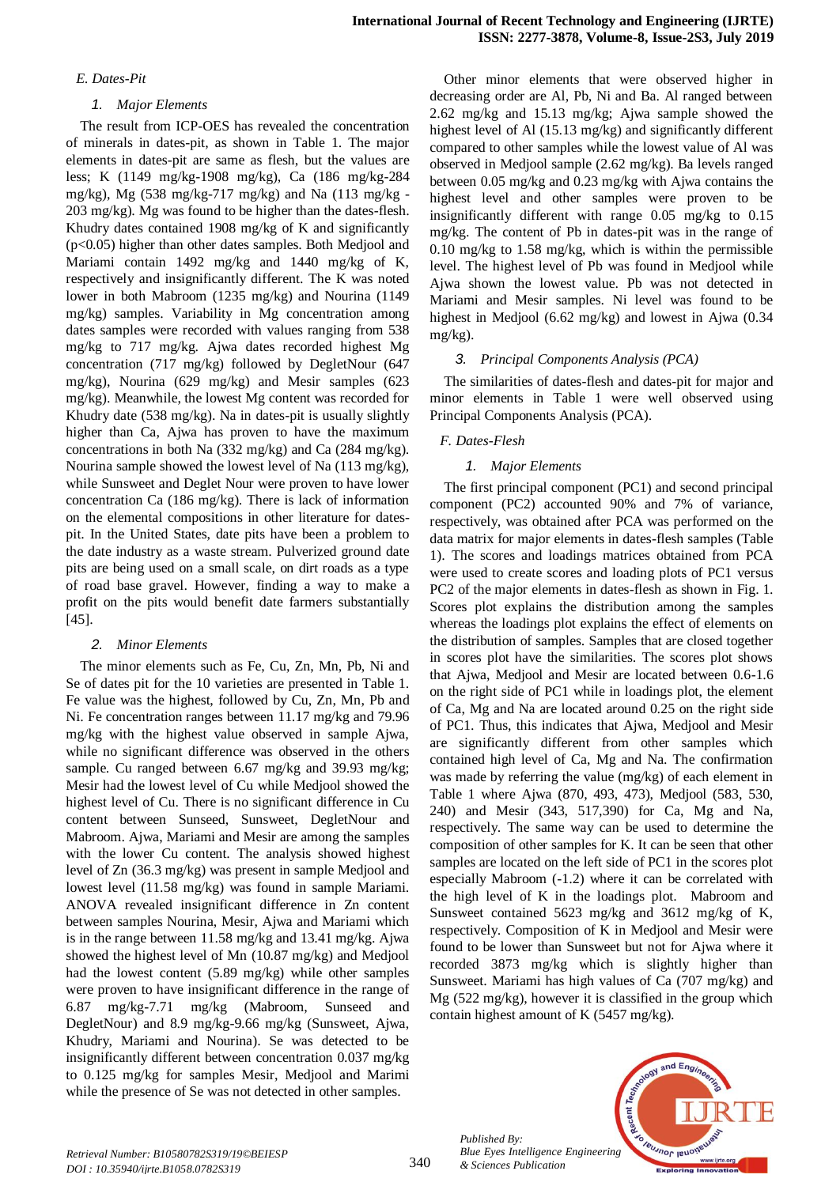# *E. Dates-Pit*

# *1. Major Elements*

The result from ICP-OES has revealed the concentration of minerals in dates-pit, as shown in Table 1. The major elements in dates-pit are same as flesh, but the values are less; K (1149 mg/kg-1908 mg/kg), Ca (186 mg/kg-284 mg/kg), Mg (538 mg/kg-717 mg/kg) and Na (113 mg/kg - 203 mg/kg). Mg was found to be higher than the dates-flesh. Khudry dates contained 1908 mg/kg of K and significantly (p<0.05) higher than other dates samples. Both Medjool and Mariami contain 1492 mg/kg and 1440 mg/kg of K, respectively and insignificantly different. The K was noted lower in both Mabroom (1235 mg/kg) and Nourina (1149 mg/kg) samples. Variability in Mg concentration among dates samples were recorded with values ranging from 538 mg/kg to 717 mg/kg. Ajwa dates recorded highest Mg concentration (717 mg/kg) followed by DegletNour (647 mg/kg), Nourina (629 mg/kg) and Mesir samples (623 mg/kg). Meanwhile, the lowest Mg content was recorded for Khudry date (538 mg/kg). Na in dates-pit is usually slightly higher than Ca, Ajwa has proven to have the maximum concentrations in both Na (332 mg/kg) and Ca (284 mg/kg). Nourina sample showed the lowest level of Na (113 mg/kg), while Sunsweet and Deglet Nour were proven to have lower concentration Ca (186 mg/kg). There is lack of information on the elemental compositions in other literature for datespit. In the United States, date pits have been a problem to the date industry as a waste stream. Pulverized ground date pits are being used on a small scale, on dirt roads as a type of road base gravel. However, finding a way to make a profit on the pits would benefit date farmers substantially [45].

# *2. Minor Elements*

The minor elements such as Fe, Cu, Zn, Mn, Pb, Ni and Se of dates pit for the 10 varieties are presented in Table 1. Fe value was the highest, followed by Cu, Zn, Mn, Pb and Ni. Fe concentration ranges between 11.17 mg/kg and 79.96 mg/kg with the highest value observed in sample Ajwa, while no significant difference was observed in the others sample. Cu ranged between 6.67 mg/kg and 39.93 mg/kg; Mesir had the lowest level of Cu while Medjool showed the highest level of Cu. There is no significant difference in Cu content between Sunseed, Sunsweet, DegletNour and Mabroom. Ajwa, Mariami and Mesir are among the samples with the lower Cu content. The analysis showed highest level of Zn (36.3 mg/kg) was present in sample Medjool and lowest level (11.58 mg/kg) was found in sample Mariami. ANOVA revealed insignificant difference in Zn content between samples Nourina, Mesir, Ajwa and Mariami which is in the range between 11.58 mg/kg and 13.41 mg/kg. Ajwa showed the highest level of Mn (10.87 mg/kg) and Medjool had the lowest content (5.89 mg/kg) while other samples were proven to have insignificant difference in the range of 6.87 mg/kg-7.71 mg/kg (Mabroom, Sunseed and DegletNour) and 8.9 mg/kg-9.66 mg/kg (Sunsweet, Ajwa, Khudry, Mariami and Nourina). Se was detected to be insignificantly different between concentration 0.037 mg/kg to 0.125 mg/kg for samples Mesir, Medjool and Marimi while the presence of Se was not detected in other samples.

Other minor elements that were observed higher in decreasing order are Al, Pb, Ni and Ba. Al ranged between 2.62 mg/kg and 15.13 mg/kg; Ajwa sample showed the highest level of Al (15.13 mg/kg) and significantly different compared to other samples while the lowest value of Al was observed in Medjool sample (2.62 mg/kg). Ba levels ranged between 0.05 mg/kg and 0.23 mg/kg with Ajwa contains the highest level and other samples were proven to be insignificantly different with range 0.05 mg/kg to 0.15 mg/kg. The content of Pb in dates-pit was in the range of 0.10 mg/kg to 1.58 mg/kg, which is within the permissible level. The highest level of Pb was found in Medjool while Ajwa shown the lowest value. Pb was not detected in Mariami and Mesir samples. Ni level was found to be highest in Medjool (6.62 mg/kg) and lowest in Ajwa (0.34 mg/kg).

# *3. Principal Components Analysis (PCA)*

The similarities of dates-flesh and dates-pit for major and minor elements in Table 1 were well observed using Principal Components Analysis (PCA).

# *F. Dates-Flesh*

# *1. Major Elements*

The first principal component (PC1) and second principal component (PC2) accounted 90% and 7% of variance, respectively, was obtained after PCA was performed on the data matrix for major elements in dates-flesh samples (Table 1). The scores and loadings matrices obtained from PCA were used to create scores and loading plots of PC1 versus PC2 of the major elements in dates-flesh as shown in Fig. 1. Scores plot explains the distribution among the samples whereas the loadings plot explains the effect of elements on the distribution of samples. Samples that are closed together in scores plot have the similarities. The scores plot shows that Ajwa, Medjool and Mesir are located between 0.6-1.6 on the right side of PC1 while in loadings plot, the element of Ca, Mg and Na are located around 0.25 on the right side of PC1. Thus, this indicates that Ajwa, Medjool and Mesir are significantly different from other samples which contained high level of Ca, Mg and Na. The confirmation was made by referring the value (mg/kg) of each element in Table 1 where Ajwa (870, 493, 473), Medjool (583, 530, 240) and Mesir (343, 517,390) for Ca, Mg and Na, respectively. The same way can be used to determine the composition of other samples for K. It can be seen that other samples are located on the left side of PC1 in the scores plot especially Mabroom (-1.2) where it can be correlated with the high level of K in the loadings plot. Mabroom and Sunsweet contained 5623 mg/kg and 3612 mg/kg of K, respectively. Composition of K in Medjool and Mesir were found to be lower than Sunsweet but not for Ajwa where it recorded 3873 mg/kg which is slightly higher than Sunsweet. Mariami has high values of Ca (707 mg/kg) and Mg (522 mg/kg), however it is classified in the group which contain highest amount of K (5457 mg/kg).



*Published By:*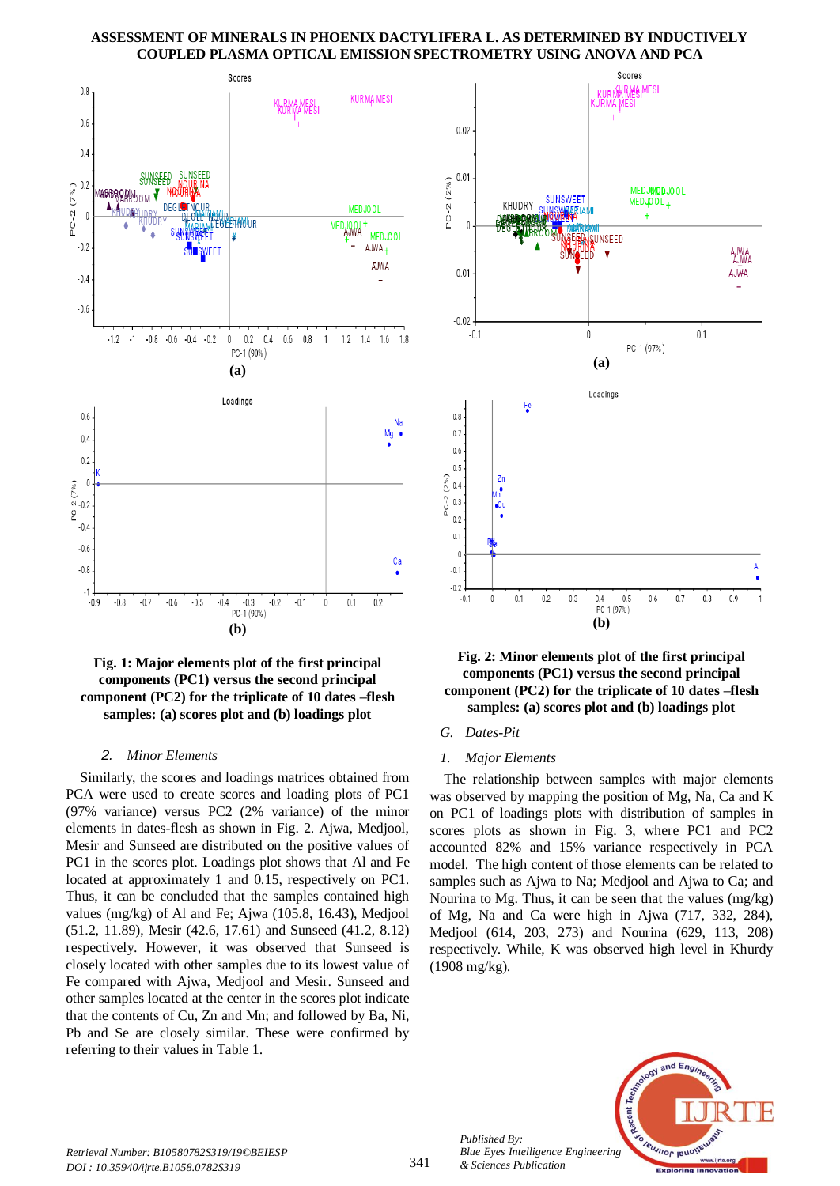

# **Fig. 1: Major elements plot of the first principal components (PC1) versus the second principal component (PC2) for the triplicate of 10 dates –flesh samples: (a) scores plot and (b) loadings plot**

#### *2. Minor Elements*

Similarly, the scores and loadings matrices obtained from PCA were used to create scores and loading plots of PC1 (97% variance) versus PC2 (2% variance) of the minor elements in dates-flesh as shown in Fig. 2. Ajwa, Medjool, Mesir and Sunseed are distributed on the positive values of PC1 in the scores plot. Loadings plot shows that Al and Fe located at approximately 1 and 0.15, respectively on PC1. Thus, it can be concluded that the samples contained high values (mg/kg) of Al and Fe; Ajwa (105.8, 16.43), Medjool (51.2, 11.89), Mesir (42.6, 17.61) and Sunseed (41.2, 8.12) respectively. However, it was observed that Sunseed is closely located with other samples due to its lowest value of Fe compared with Ajwa, Medjool and Mesir. Sunseed and other samples located at the center in the scores plot indicate that the contents of Cu, Zn and Mn; and followed by Ba, Ni, Pb and Se are closely similar. These were confirmed by referring to their values in Table 1.





#### *G. Dates-Pit*

#### *1. Major Elements*

The relationship between samples with major elements was observed by mapping the position of Mg, Na, Ca and K on PC1 of loadings plots with distribution of samples in scores plots as shown in Fig. 3, where PC1 and PC2 accounted 82% and 15% variance respectively in PCA model. The high content of those elements can be related to samples such as Ajwa to Na; Medjool and Ajwa to Ca; and Nourina to Mg. Thus, it can be seen that the values (mg/kg) of Mg, Na and Ca were high in Ajwa (717, 332, 284), Medjool (614, 203, 273) and Nourina (629, 113, 208) respectively. While, K was observed high level in Khurdy (1908 mg/kg).



*Published By: Blue Eyes Intelligence Engineering & Sciences Publication*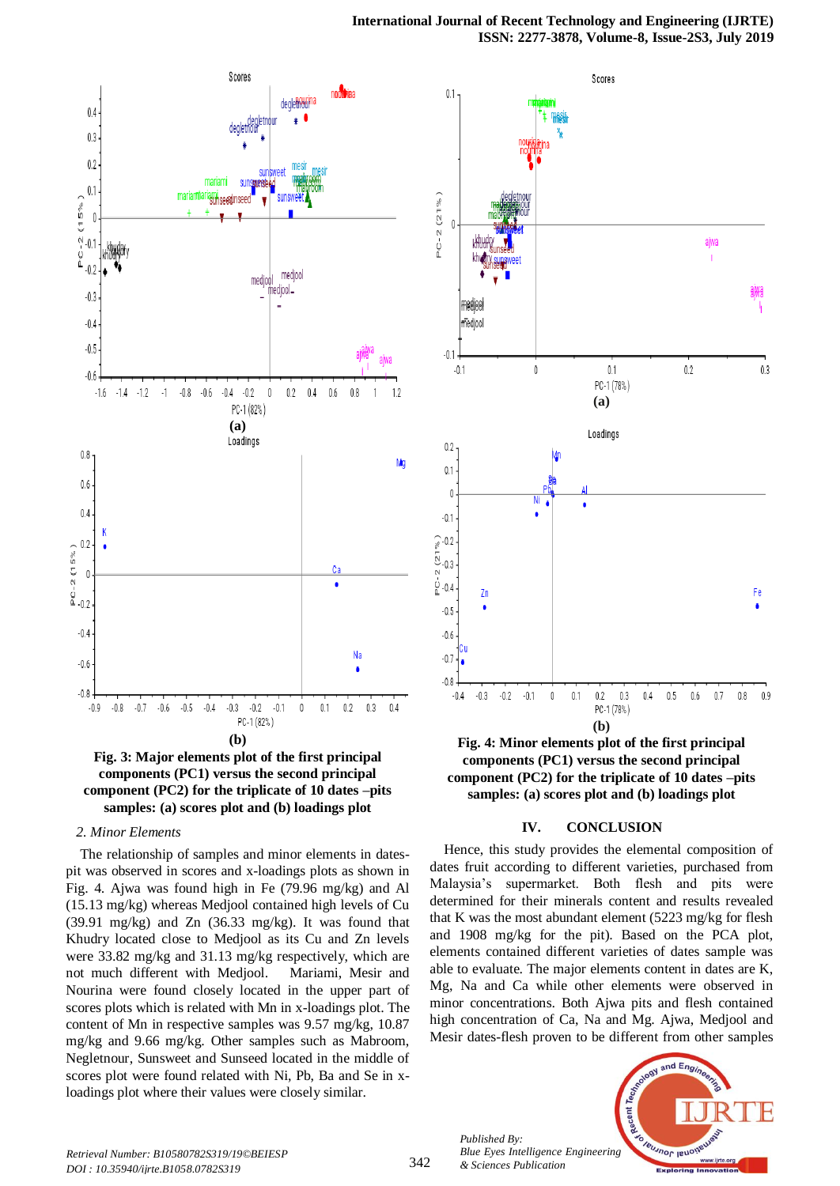



#### *2. Minor Elements*

The relationship of samples and minor elements in datespit was observed in scores and x-loadings plots as shown in Fig. 4. Ajwa was found high in Fe (79.96 mg/kg) and Al (15.13 mg/kg) whereas Medjool contained high levels of Cu (39.91 mg/kg) and Zn (36.33 mg/kg). It was found that Khudry located close to Medjool as its Cu and Zn levels were 33.82 mg/kg and 31.13 mg/kg respectively, which are not much different with Medjool. Mariami, Mesir and Nourina were found closely located in the upper part of scores plots which is related with Mn in x-loadings plot. The content of Mn in respective samples was 9.57 mg/kg, 10.87 mg/kg and 9.66 mg/kg. Other samples such as Mabroom, Negletnour, Sunsweet and Sunseed located in the middle of scores plot were found related with Ni, Pb, Ba and Se in xloadings plot where their values were closely similar.



**Fig. 4: Minor elements plot of the first principal components (PC1) versus the second principal component (PC2) for the triplicate of 10 dates –pits samples: (a) scores plot and (b) loadings plot**

## **IV. CONCLUSION**

Hence, this study provides the elemental composition of dates fruit according to different varieties, purchased from Malaysia's supermarket. Both flesh and pits were determined for their minerals content and results revealed that K was the most abundant element (5223 mg/kg for flesh and 1908 mg/kg for the pit). Based on the PCA plot, elements contained different varieties of dates sample was able to evaluate. The major elements content in dates are K, Mg, Na and Ca while other elements were observed in minor concentrations. Both Ajwa pits and flesh contained high concentration of Ca, Na and Mg. Ajwa, Medjool and Mesir dates-flesh proven to be different from other samples

Recent 1 Jeunnor lend *Blue Eyes Intelligence Engineering & Sciences Publication* 

and Eno

*Published By:*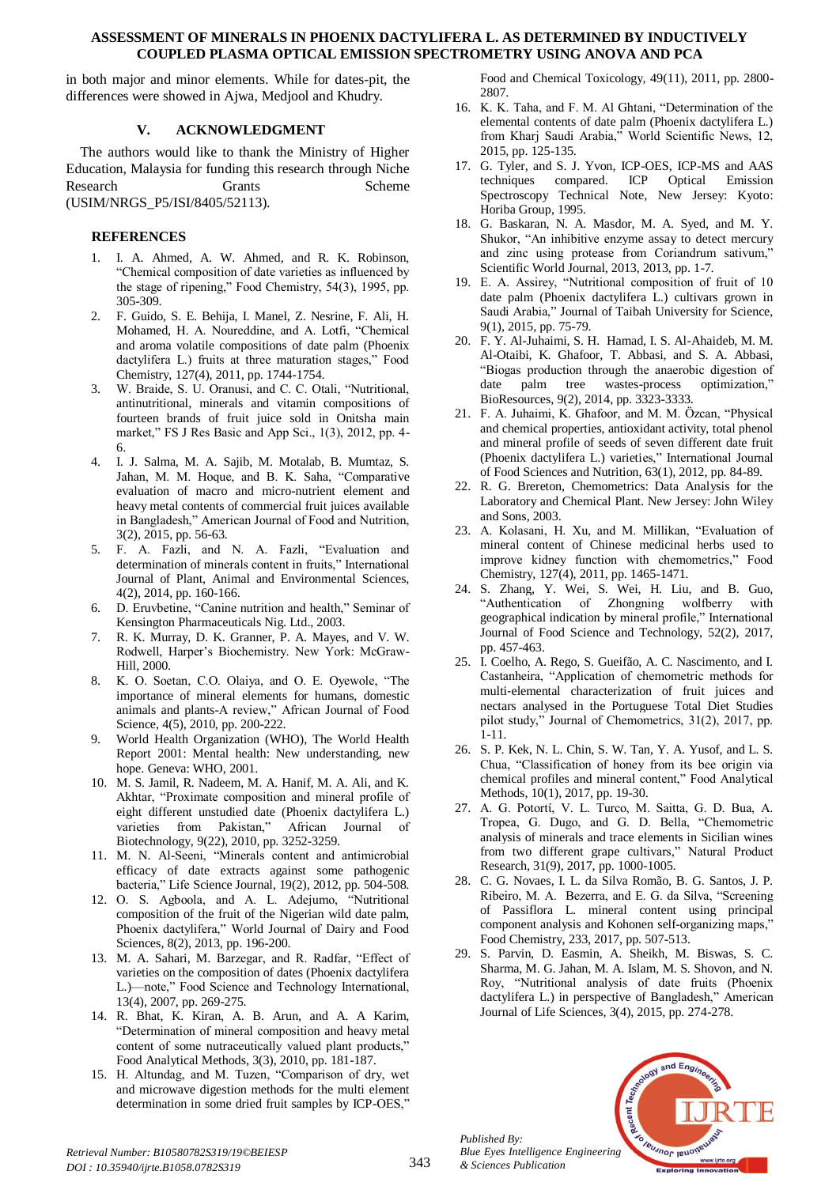in both major and minor elements. While for dates-pit, the differences were showed in Ajwa, Medjool and Khudry.

# **V. ACKNOWLEDGMENT**

The authors would like to thank the Ministry of Higher Education, Malaysia for funding this research through Niche Research Grants Scheme (USIM/NRGS\_P5/ISI/8405/52113).

# **REFERENCES**

- 1. I. A. Ahmed, A. W. Ahmed, and R. K. Robinson, "Chemical composition of date varieties as influenced by the stage of ripening," Food Chemistry, 54(3), 1995, pp. 305-309.
- 2. F. Guido, S. E. Behija, I. Manel, Z. Nesrine, F. Ali, H. Mohamed, H. A. Noureddine, and A. Lotfi, "Chemical and aroma volatile compositions of date palm (Phoenix dactylifera L.) fruits at three maturation stages," Food Chemistry, 127(4), 2011, pp. 1744-1754.
- 3. W. Braide, S. U. Oranusi, and C. C. Otali, "Nutritional, antinutritional, minerals and vitamin compositions of fourteen brands of fruit juice sold in Onitsha main market," FS J Res Basic and App Sci., 1(3), 2012, pp. 4- 6.
- 4. I. J. Salma, M. A. Sajib, M. Motalab, B. Mumtaz, S. Jahan, M. M. Hoque, and B. K. Saha, "Comparative evaluation of macro and micro-nutrient element and heavy metal contents of commercial fruit juices available in Bangladesh," American Journal of Food and Nutrition, 3(2), 2015, pp. 56-63.
- 5. F. A. Fazli, and N. A. Fazli, "Evaluation and determination of minerals content in fruits," International Journal of Plant, Animal and Environmental Sciences, 4(2), 2014, pp. 160-166.
- 6. D. Eruvbetine, "Canine nutrition and health," Seminar of Kensington Pharmaceuticals Nig. Ltd., 2003.
- 7. R. K. Murray, D. K. Granner, P. A. Mayes, and V. W. Rodwell, Harper's Biochemistry. New York: McGraw-Hill, 2000.
- 8. K. O. Soetan, C.O. Olaiya, and O. E. Oyewole, "The importance of mineral elements for humans, domestic animals and plants-A review," African Journal of Food Science, 4(5), 2010, pp. 200-222.
- 9. World Health Organization (WHO), The World Health Report 2001: Mental health: New understanding, new hope. Geneva: WHO, 2001.
- 10. M. S. Jamil, R. Nadeem, M. A. Hanif, M. A. Ali, and K. Akhtar, "Proximate composition and mineral profile of eight different unstudied date (Phoenix dactylifera L.) varieties from Pakistan," African Journal of Biotechnology, 9(22), 2010, pp. 3252-3259.
- 11. M. N. Al-Seeni, "Minerals content and antimicrobial efficacy of date extracts against some pathogenic bacteria," Life Science Journal, 19(2), 2012, pp. 504-508.
- 12. O. S. Agboola, and A. L. Adejumo, "Nutritional composition of the fruit of the Nigerian wild date palm, Phoenix dactylifera," World Journal of Dairy and Food Sciences, 8(2), 2013, pp. 196-200.
- 13. M. A. Sahari, M. Barzegar, and R. Radfar, "Effect of varieties on the composition of dates (Phoenix dactylifera L.)—note," Food Science and Technology International, 13(4), 2007, pp. 269-275.
- 14. R. Bhat, K. Kiran, A. B. Arun, and A. A Karim, "Determination of mineral composition and heavy metal content of some nutraceutically valued plant products," Food Analytical Methods, 3(3), 2010, pp. 181-187.
- 15. H. Altundag, and M. Tuzen, "Comparison of dry, wet and microwave digestion methods for the multi element determination in some dried fruit samples by ICP-OES,"

Food and Chemical Toxicology, 49(11), 2011, pp. 2800- 2807.

- 16. K. K. Taha, and F. M. Al Ghtani, "Determination of the elemental contents of date palm (Phoenix dactylifera L.) from Kharj Saudi Arabia," World Scientific News, 12, 2015, pp. 125-135.
- 17. G. Tyler, and S. J. Yvon, ICP-OES, ICP-MS and AAS techniques compared. ICP Optical Emission Spectroscopy Technical Note, New Jersey: Kyoto: Horiba Group, 1995.
- 18. G. Baskaran, N. A. Masdor, M. A. Syed, and M. Y. Shukor, "An inhibitive enzyme assay to detect mercury and zinc using protease from Coriandrum sativum," Scientific World Journal, 2013, 2013, pp. 1-7.
- 19. E. A. Assirey, "Nutritional composition of fruit of 10 date palm (Phoenix dactylifera L.) cultivars grown in Saudi Arabia," Journal of Taibah University for Science, 9(1), 2015, pp. 75-79.
- 20. F. Y. Al-Juhaimi, S. H. Hamad, I. S. Al-Ahaideb, M. M. Al-Otaibi, K. Ghafoor, T. Abbasi, and S. A. Abbasi, "Biogas production through the anaerobic digestion of date palm tree wastes-process optimization," BioResources, 9(2), 2014, pp. 3323-3333.
- 21. F. A. Juhaimi, K. Ghafoor, and M. M. Özcan, "Physical and chemical properties, antioxidant activity, total phenol and mineral profile of seeds of seven different date fruit (Phoenix dactylifera L.) varieties," International Journal of Food Sciences and Nutrition, 63(1), 2012, pp. 84-89.
- 22. R. G. Brereton, Chemometrics: Data Analysis for the Laboratory and Chemical Plant. New Jersey: John Wiley and Sons, 2003.
- 23. A. Kolasani, H. Xu, and M. Millikan, "Evaluation of mineral content of Chinese medicinal herbs used to improve kidney function with chemometrics," Food Chemistry, 127(4), 2011, pp. 1465-1471.
- 24. S. Zhang, Y. Wei, S. Wei, H. Liu, and B. Guo, "Authentication of Zhongning wolfberry with geographical indication by mineral profile," International Journal of Food Science and Technology, 52(2), 2017, pp. 457-463.
- 25. I. Coelho, A. Rego, S. Gueifão, A. C. Nascimento, and I. Castanheira, "Application of chemometric methods for multi‐elemental characterization of fruit juices and nectars analysed in the Portuguese Total Diet Studies pilot study," Journal of Chemometrics, 31(2), 2017, pp. 1-11.
- 26. S. P. Kek, N. L. Chin, S. W. Tan, Y. A. Yusof, and L. S. Chua, "Classification of honey from its bee origin via chemical profiles and mineral content," Food Analytical Methods, 10(1), 2017, pp. 19-30.
- 27. A. G. Potortί, V. L. Turco, M. Saitta, G. D. Bua, A. Tropea, G. Dugo, and G. D. Bella, "Chemometric analysis of minerals and trace elements in Sicilian wines from two different grape cultivars," Natural Product Research, 31(9), 2017, pp. 1000-1005.
- 28. C. G. Novaes, I. L. da Silva Romão, B. G. Santos, J. P. Ribeiro, M. A. Bezerra, and E. G. da Silva, "Screening of Passiflora L. mineral content using principal component analysis and Kohonen self-organizing maps," Food Chemistry, 233, 2017, pp. 507-513.
- 29. S. Parvin, D. Easmin, A. Sheikh, M. Biswas, S. C. Sharma, M. G. Jahan, M. A. Islam, M. S. Shovon, and N. Roy, "Nutritional analysis of date fruits (Phoenix dactylifera L.) in perspective of Bangladesh," American Journal of Life Sciences, 3(4), 2015, pp. 274-278.



*Published By:*